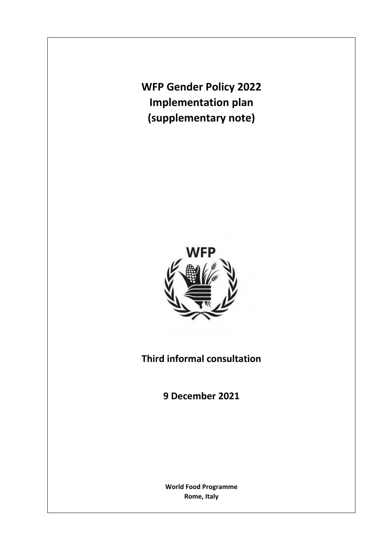**WFP Gender Policy 2022 Implementation plan (supplementary note)**



**Third informal consultation**

**9 December 2021**

**World Food Programme Rome, Italy**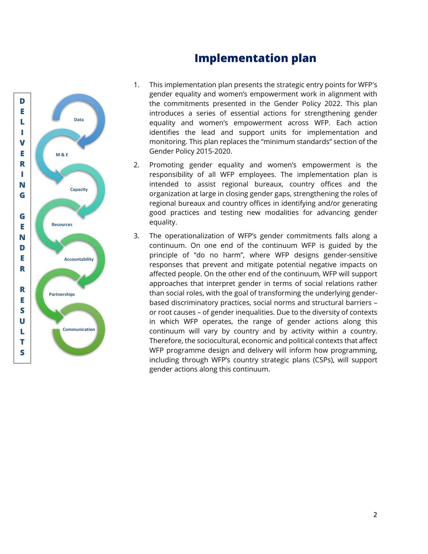



- 1. This implementation plan presents the strategic entry points for WFP's gender equality and women's empowerment work in alignment with the commitments presented in the Gender Policy 2022. This plan introduces a series of essential actions for strengthening gender equality and women's empowerment across WFP. Each action identifies the lead and support units for implementation and monitoring. This plan replaces the "minimum standards" section of the Gender Policy 2015-2020.
- 2. Promoting gender equality and women's empowerment is the responsibility of all WFP employees. The implementation plan is intended to assist regional bureaux, country offices and the organization at large in closing gender gaps, strengthening the roles of regional bureaux and country offices in identifying and/or generating good practices and testing new modalities for advancing gender equality.
- 3. The operationalization of WFP's gender commitments falls along a continuum. On one end of the continuum WFP is guided by the principle of "do no harm", where WFP designs gender-sensitive responses that prevent and mitigate potential negative impacts on affected people. On the other end of the continuum, WFP will support approaches that interpret gender in terms of social relations rather than social roles, with the goal of transforming the underlying genderbased discriminatory practices, social norms and structural barriers – or root causes – of gender inequalities. Due to the diversity of contexts in which WFP operates, the range of gender actions along this continuum will vary by country and by activity within a country. Therefore, the sociocultural, economic and political contexts that affect WFP programme design and delivery will inform how programming, including through WFP's country strategic plans (CSPs), will support gender actions along this continuum.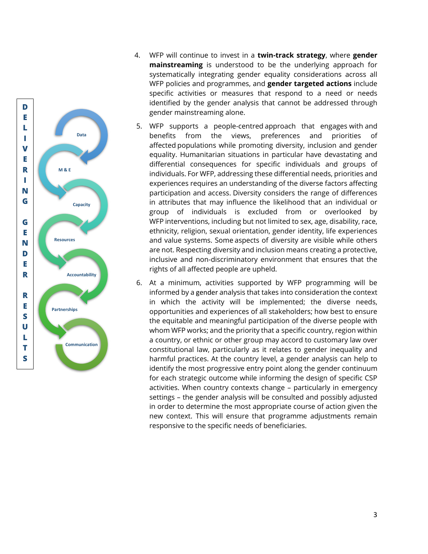

- 4. WFP will continue to invest in a **twin-track strategy**, where **gender mainstreaming** is understood to be the underlying approach for systematically integrating gender equality considerations across all WFP policies and programmes, and **gender targeted actions** include specific activities or measures that respond to a need or needs identified by the gender analysis that cannot be addressed through gender mainstreaming alone.
- 5. WFP supports a people-centred approach that engages with and benefits from the views, preferences and priorities of affected populations while promoting diversity, inclusion and gender equality. Humanitarian situations in particular have devastating and differential consequences for specific individuals and groups of individuals. For WFP, addressing these differential needs, priorities and experiences requires an understanding of the diverse factors affecting participation and access. Diversity considers the range of differences in attributes that may influence the likelihood that an individual or group of individuals is excluded from or overlooked by WFP interventions, including but not limited to sex, age, disability, race, ethnicity, religion, sexual orientation, gender identity, life experiences and value systems. Some aspects of diversity are visible while others are not. Respecting diversity and inclusion means creating a protective, inclusive and non-discriminatory environment that ensures that the rights of all affected people are upheld.
- 6. At a minimum, activities supported by WFP programming will be informed by a gender analysis that takes into consideration the context in which the activity will be implemented; the diverse needs, opportunities and experiences of all stakeholders; how best to ensure the equitable and meaningful participation of the diverse people with whom WFP works; and the priority that a specific country, region within a country, or ethnic or other group may accord to customary law over constitutional law, particularly as it relates to gender inequality and harmful practices. At the country level, a gender analysis can help to identify the most progressive entry point along the gender continuum for each strategic outcome while informing the design of specific CSP activities. When country contexts change – particularly in emergency settings – the gender analysis will be consulted and possibly adjusted in order to determine the most appropriate course of action given the new context. This will ensure that programme adjustments remain responsive to the specific needs of beneficiaries.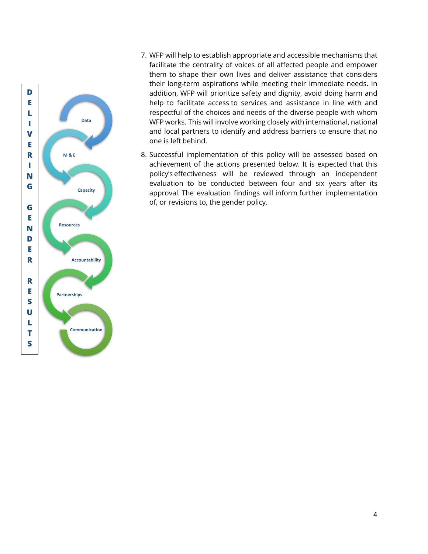

- 7. WFP will help to establish appropriate and accessible mechanisms that facilitate the centrality of voices of all affected people and empower them to shape their own lives and deliver assistance that considers their long-term aspirations while meeting their immediate needs. In addition, WFP will prioritize safety and dignity, avoid doing harm and help to facilitate access to services and assistance in line with and respectful of the choices and needs of the diverse people with whom WFP works. This will involve working closely with international, national and local partners to identify and address barriers to ensure that no one is left behind.
- 8. Successful implementation of this policy will be assessed based on achievement of the actions presented below. It is expected that this policy's effectiveness will be reviewed through an independent evaluation to be conducted between four and six years after its approval. The evaluation findings will inform further implementation of, or revisions to, the gender policy.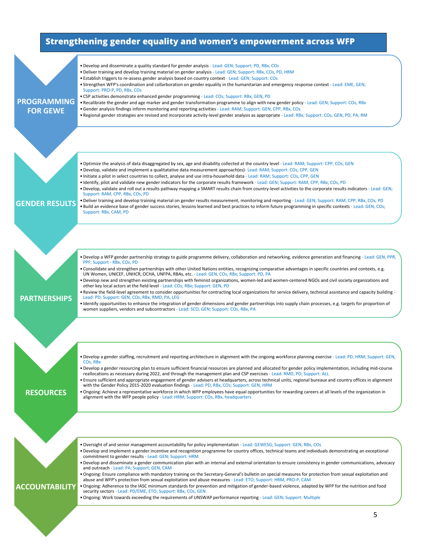## **Strengthening gender equality and women's empowerment across WFP**